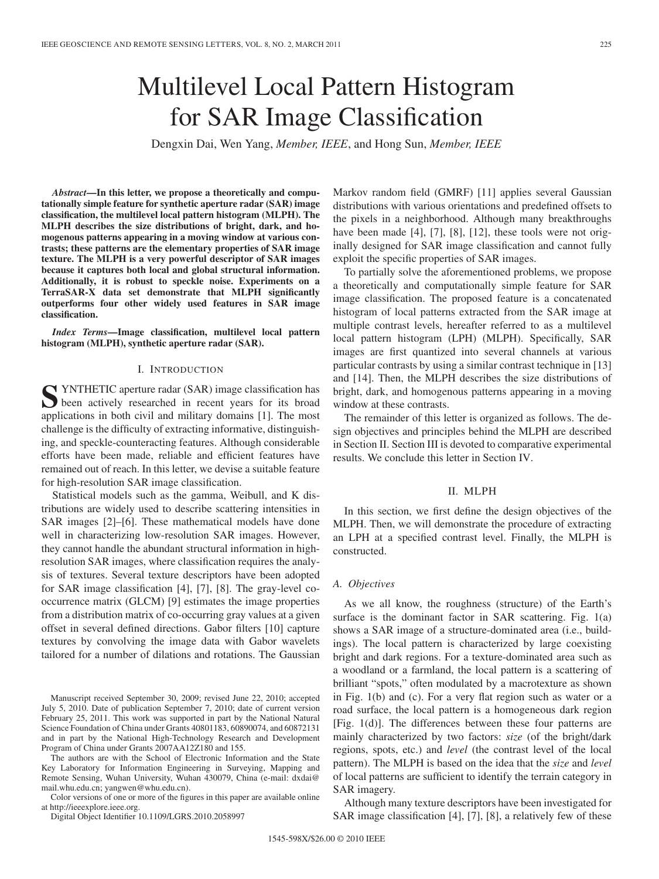# Multilevel Local Pattern Histogram for SAR Image Classification

Dengxin Dai, Wen Yang, *Member, IEEE*, and Hong Sun, *Member, IEEE*

*Abstract***—In this letter, we propose a theoretically and computationally simple feature for synthetic aperture radar (SAR) image classification, the multilevel local pattern histogram (MLPH). The MLPH describes the size distributions of bright, dark, and homogenous patterns appearing in a moving window at various contrasts; these patterns are the elementary properties of SAR image texture. The MLPH is a very powerful descriptor of SAR images because it captures both local and global structural information. Additionally, it is robust to speckle noise. Experiments on a TerraSAR-X data set demonstrate that MLPH significantly outperforms four other widely used features in SAR image classification.**

*Index Terms***—Image classification, multilevel local pattern histogram (MLPH), synthetic aperture radar (SAR).**

#### I. INTRODUCTION

S<sup>I</sup> YNTHETIC aperture radar (SAR) image classification has<br>been actively researched in recent years for its broad applications in both civil and military domains [1]. The most challenge is the difficulty of extracting informative, distinguishing, and speckle-counteracting features. Although considerable efforts have been made, reliable and efficient features have remained out of reach. In this letter, we devise a suitable feature for high-resolution SAR image classification.

Statistical models such as the gamma, Weibull, and K distributions are widely used to describe scattering intensities in SAR images [2]–[6]. These mathematical models have done well in characterizing low-resolution SAR images. However, they cannot handle the abundant structural information in highresolution SAR images, where classification requires the analysis of textures. Several texture descriptors have been adopted for SAR image classification [4], [7], [8]. The gray-level cooccurrence matrix (GLCM) [9] estimates the image properties from a distribution matrix of co-occurring gray values at a given offset in several defined directions. Gabor filters [10] capture textures by convolving the image data with Gabor wavelets tailored for a number of dilations and rotations. The Gaussian

Manuscript received September 30, 2009; revised June 22, 2010; accepted July 5, 2010. Date of publication September 7, 2010; date of current version February 25, 2011. This work was supported in part by the National Natural Science Foundation of China under Grants 40801183, 60890074, and 60872131 and in part by the National High-Technology Research and Development Program of China under Grants 2007AA12Z180 and 155.

The authors are with the School of Electronic Information and the State Key Laboratory for Information Engineering in Surveying, Mapping and Remote Sensing, Wuhan University, Wuhan 430079, China (e-mail: dxdai@ mail.whu.edu.cn; yangwen@whu.edu.cn).

Color versions of one or more of the figures in this paper are available online at http://ieeexplore.ieee.org.

Digital Object Identifier 10.1109/LGRS.2010.2058997

Markov random field (GMRF) [11] applies several Gaussian distributions with various orientations and predefined offsets to the pixels in a neighborhood. Although many breakthroughs have been made [4], [7], [8], [12], these tools were not originally designed for SAR image classification and cannot fully exploit the specific properties of SAR images.

To partially solve the aforementioned problems, we propose a theoretically and computationally simple feature for SAR image classification. The proposed feature is a concatenated histogram of local patterns extracted from the SAR image at multiple contrast levels, hereafter referred to as a multilevel local pattern histogram (LPH) (MLPH). Specifically, SAR images are first quantized into several channels at various particular contrasts by using a similar contrast technique in [13] and [14]. Then, the MLPH describes the size distributions of bright, dark, and homogenous patterns appearing in a moving window at these contrasts.

The remainder of this letter is organized as follows. The design objectives and principles behind the MLPH are described in Section II. Section III is devoted to comparative experimental results. We conclude this letter in Section IV.

#### II. MLPH

In this section, we first define the design objectives of the MLPH. Then, we will demonstrate the procedure of extracting an LPH at a specified contrast level. Finally, the MLPH is constructed.

## *A. Objectives*

As we all know, the roughness (structure) of the Earth's surface is the dominant factor in SAR scattering. Fig. 1(a) shows a SAR image of a structure-dominated area (i.e., buildings). The local pattern is characterized by large coexisting bright and dark regions. For a texture-dominated area such as a woodland or a farmland, the local pattern is a scattering of brilliant "spots," often modulated by a macrotexture as shown in Fig. 1(b) and (c). For a very flat region such as water or a road surface, the local pattern is a homogeneous dark region [Fig. 1(d)]. The differences between these four patterns are mainly characterized by two factors: *size* (of the bright/dark regions, spots, etc.) and *level* (the contrast level of the local pattern). The MLPH is based on the idea that the *size* and *level* of local patterns are sufficient to identify the terrain category in SAR imagery.

Although many texture descriptors have been investigated for SAR image classification [4], [7], [8], a relatively few of these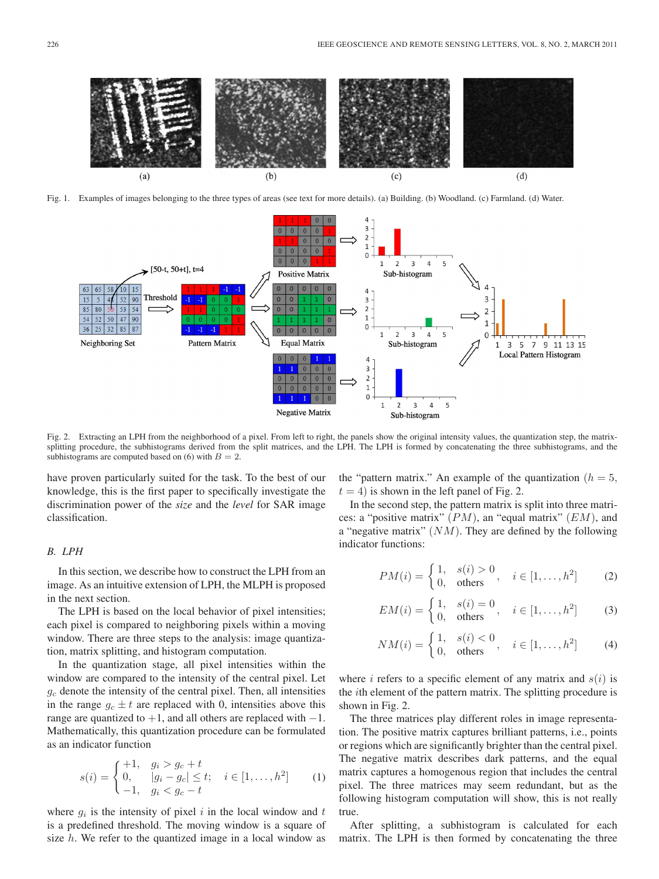$\overline{2}$  $\overline{3}$  $\overline{4}$  $[50-t, 50+t], t=4$ **Positive Matrix** Sub-histogram Threshold 90  $\Box$  $8<sup>5</sup>$ 80 53 54 54 52 50 47 90 25 32 85 87  $36$  $\overline{2}$  $\overline{3}$  $\overline{4}$  $\mathbf{1}$ Neighboring Set **Pattern Matrix Equal Matrix** Sub-histogram 3 5 7 9 11 13 15  $\mathbf{1}$ Local Pattern Histogram  $\overline{0}$  $\overline{2}$  $\mathbf{1}$ 3  $\overline{4}$ 5 Negative Matrix Sub-histogram

Fig. 2. Extracting an LPH from the neighborhood of a pixel. From left to right, the panels show the original intensity values, the quantization step, the matrixsplitting procedure, the subhistograms derived from the split matrices, and the LPH. The LPH is formed by concatenating the three subhistograms, and the subhistograms are computed based on (6) with  $B = 2$ .

have proven particularly suited for the task. To the best of our knowledge, this is the first paper to specifically investigate the discrimination power of the *size* and the *level* for SAR image classification.

#### *B. LPH*

In this section, we describe how to construct the LPH from an image. As an intuitive extension of LPH, the MLPH is proposed in the next section.

The LPH is based on the local behavior of pixel intensities; each pixel is compared to neighboring pixels within a moving window. There are three steps to the analysis: image quantization, matrix splitting, and histogram computation.

In the quantization stage, all pixel intensities within the window are compared to the intensity of the central pixel. Let <sup>g</sup>*<sup>c</sup>* denote the intensity of the central pixel. Then, all intensities in the range  $g_c \pm t$  are replaced with 0, intensities above this range are quantized to  $+1$ , and all others are replaced with  $-1$ . Mathematically, this quantization procedure can be formulated as an indicator function

$$
s(i) = \begin{cases} +1, & g_i > g_c + t \\ 0, & |g_i - g_c| \le t; \quad i \in [1, ..., h^2] \\ -1, & g_i < g_c - t \end{cases}
$$
 (1)

where  $g_i$  is the intensity of pixel i in the local window and  $t$ is a predefined threshold. The moving window is a square of size h. We refer to the quantized image in a local window as the "pattern matrix." An example of the quantization ( $h = 5$ ,  $t = 4$ ) is shown in the left panel of Fig. 2.

In the second step, the pattern matrix is split into three matrices: a "positive matrix"  $(PM)$ , an "equal matrix"  $(EM)$ , and a "negative matrix"  $(NM)$ . They are defined by the following indicator functions:

$$
PM(i) = \begin{cases} 1, & s(i) > 0 \\ 0, & \text{others} \end{cases}, \quad i \in [1, \dots, h^2] \tag{2}
$$

$$
EM(i) = \begin{cases} 1, & s(i) = 0 \\ 0, & \text{others} \end{cases}, \quad i \in [1, \dots, h^2] \tag{3}
$$

$$
NM(i) = \begin{cases} 1, & s(i) < 0 \\ 0, & \text{others} \end{cases}, \quad i \in [1, \dots, h^2] \tag{4}
$$

where i refers to a specific element of any matrix and  $s(i)$  is the ith element of the pattern matrix. The splitting procedure is shown in Fig. 2.

The three matrices play different roles in image representation. The positive matrix captures brilliant patterns, i.e., points or regions which are significantly brighter than the central pixel. The negative matrix describes dark patterns, and the equal matrix captures a homogenous region that includes the central pixel. The three matrices may seem redundant, but as the following histogram computation will show, this is not really true.

After splitting, a subhistogram is calculated for each matrix. The LPH is then formed by concatenating the three

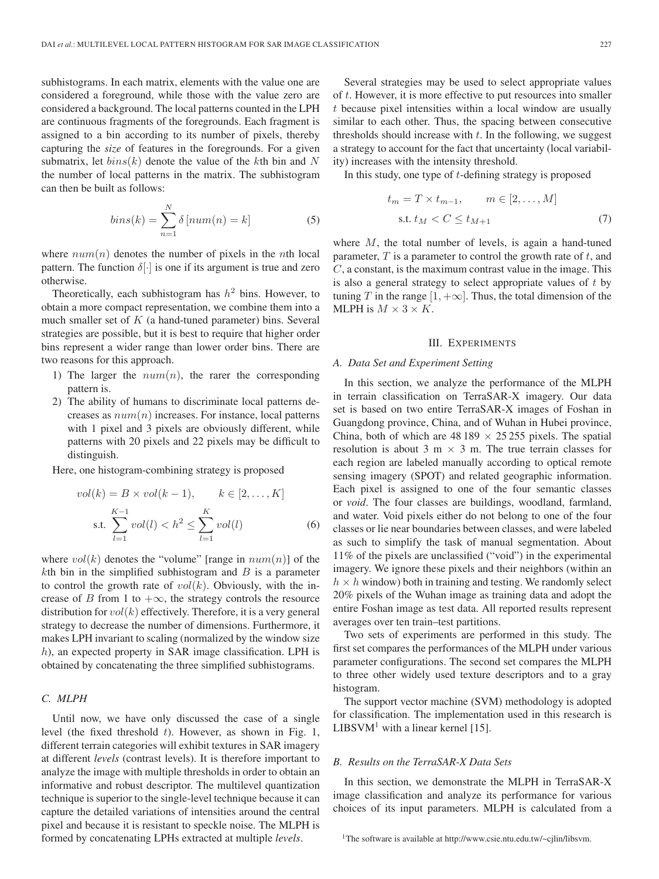subhistograms. In each matrix, elements with the value one are considered a foreground, while those with the value zero are considered a background. The local patterns counted in the LPH are continuous fragments of the foregrounds. Each fragment is assigned to a bin according to its number of pixels, thereby capturing the *size* of features in the foregrounds. For a given submatrix, let  $bins(k)$  denote the value of the kth bin and N the number of local patterns in the matrix. The subhistogram can then be built as follows:

$$
bins(k) = \sum_{n=1}^{N} \delta \left[ num(n) = k \right] \tag{5}
$$

where  $num(n)$  denotes the number of pixels in the *n*th local pattern. The function  $\delta[\cdot]$  is one if its argument is true and zero otherwise.

Theoretically, each subhistogram has  $h^2$  bins. However, to obtain a more compact representation, we combine them into a much smaller set of  $K$  (a hand-tuned parameter) bins. Several strategies are possible, but it is best to require that higher order bins represent a wider range than lower order bins. There are two reasons for this approach.

- 1) The larger the  $num(n)$ , the rarer the corresponding pattern is.
- 2) The ability of humans to discriminate local patterns decreases as  $num(n)$  increases. For instance, local patterns with 1 pixel and 3 pixels are obviously different, while patterns with 20 pixels and 22 pixels may be difficult to distinguish.

Here, one histogram-combining strategy is proposed

$$
vol(k) = B \times vol(k - 1), \qquad k \in [2, ..., K]
$$
  
s.t. 
$$
\sum_{l=1}^{K-1} vol(l) < h^2 \le \sum_{l=1}^{K} vol(l) \tag{6}
$$

where  $vol(k)$  denotes the "volume" [range in  $num(n)$ ] of the  $k$ th bin in the simplified subhistogram and  $B$  is a parameter to control the growth rate of  $vol(k)$ . Obviously, with the increase of B from 1 to  $+\infty$ , the strategy controls the resource distribution for  $vol(k)$  effectively. Therefore, it is a very general strategy to decrease the number of dimensions. Furthermore, it makes LPH invariant to scaling (normalized by the window size  $h$ ), an expected property in SAR image classification. LPH is obtained by concatenating the three simplified subhistograms.

## *C. MLPH*

Until now, we have only discussed the case of a single level (the fixed threshold  $t$ ). However, as shown in Fig. 1, different terrain categories will exhibit textures in SAR imagery at different *levels* (contrast levels). It is therefore important to analyze the image with multiple thresholds in order to obtain an informative and robust descriptor. The multilevel quantization technique is superior to the single-level technique because it can capture the detailed variations of intensities around the central pixel and because it is resistant to speckle noise. The MLPH is formed by concatenating LPHs extracted at multiple *levels*.

Several strategies may be used to select appropriate values of t. However, it is more effective to put resources into smaller t because pixel intensities within a local window are usually similar to each other. Thus, the spacing between consecutive thresholds should increase with  $t$ . In the following, we suggest a strategy to account for the fact that uncertainty (local variability) increases with the intensity threshold.

In this study, one type of  $t$ -defining strategy is proposed

$$
t_m = T \times t_{m-1}, \qquad m \in [2, \dots, M]
$$
  
s.t. 
$$
t_M < C \le t_{M+1}
$$
 (7)

where  $M$ , the total number of levels, is again a hand-tuned parameter,  $T$  is a parameter to control the growth rate of  $t$ , and  $C$ , a constant, is the maximum contrast value in the image. This is also a general strategy to select appropriate values of  $t$  by tuning T in the range  $[1, +\infty]$ . Thus, the total dimension of the MLPH is  $M \times 3 \times K$ .

## III. EXPERIMENTS

#### *A. Data Set and Experiment Setting*

In this section, we analyze the performance of the MLPH in terrain classification on TerraSAR-X imagery. Our data set is based on two entire TerraSAR-X images of Foshan in Guangdong province, China, and of Wuhan in Hubei province, China, both of which are  $48189 \times 25255$  pixels. The spatial resolution is about 3 m  $\times$  3 m. The true terrain classes for each region are labeled manually according to optical remote sensing imagery (SPOT) and related geographic information. Each pixel is assigned to one of the four semantic classes or *void*. The four classes are buildings, woodland, farmland, and water. Void pixels either do not belong to one of the four classes or lie near boundaries between classes, and were labeled as such to simplify the task of manual segmentation. About 11% of the pixels are unclassified ("void") in the experimental imagery. We ignore these pixels and their neighbors (within an  $h \times h$  window) both in training and testing. We randomly select 20% pixels of the Wuhan image as training data and adopt the entire Foshan image as test data. All reported results represent averages over ten train–test partitions.

Two sets of experiments are performed in this study. The first set compares the performances of the MLPH under various parameter configurations. The second set compares the MLPH to three other widely used texture descriptors and to a gray histogram.

The support vector machine (SVM) methodology is adopted for classification. The implementation used in this research is  $LIBSVM<sup>1</sup>$  with a linear kernel [15].

## *B. Results on the TerraSAR-X Data Sets*

In this section, we demonstrate the MLPH in TerraSAR-X image classification and analyze its performance for various choices of its input parameters. MLPH is calculated from a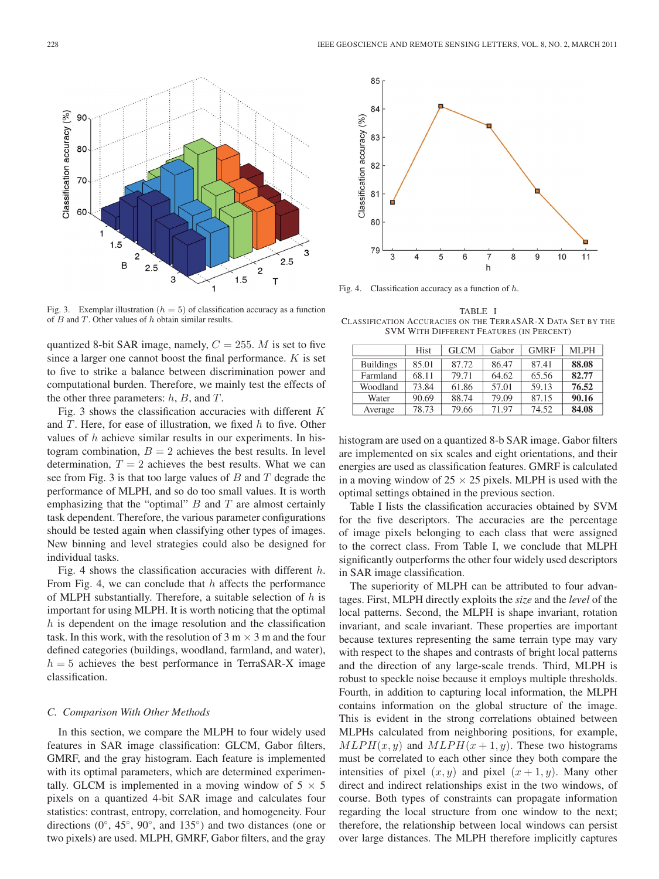

Fig. 3. Exemplar illustration  $(h = 5)$  of classification accuracy as a function of *B* and *T*. Other values of *h* obtain similar results.

quantized 8-bit SAR image, namely,  $C = 255$ . M is set to five since a larger one cannot boost the final performance.  $K$  is set to five to strike a balance between discrimination power and computational burden. Therefore, we mainly test the effects of the other three parameters:  $h$ ,  $B$ , and  $T$ .

Fig. 3 shows the classification accuracies with different  $K$ and  $T$ . Here, for ease of illustration, we fixed  $h$  to five. Other values of  $h$  achieve similar results in our experiments. In histogram combination,  $B = 2$  achieves the best results. In level determination,  $T = 2$  achieves the best results. What we can see from Fig. 3 is that too large values of  $B$  and  $T$  degrade the performance of MLPH, and so do too small values. It is worth emphasizing that the "optimal"  $B$  and  $T$  are almost certainly task dependent. Therefore, the various parameter configurations should be tested again when classifying other types of images. New binning and level strategies could also be designed for individual tasks.

Fig. 4 shows the classification accuracies with different h. From Fig. 4, we can conclude that  $h$  affects the performance of MLPH substantially. Therefore, a suitable selection of  $h$  is important for using MLPH. It is worth noticing that the optimal h is dependent on the image resolution and the classification task. In this work, with the resolution of 3 m  $\times$  3 m and the four defined categories (buildings, woodland, farmland, and water),  $h = 5$  achieves the best performance in TerraSAR-X image classification.

### *C. Comparison With Other Methods*

In this section, we compare the MLPH to four widely used features in SAR image classification: GLCM, Gabor filters, GMRF, and the gray histogram. Each feature is implemented with its optimal parameters, which are determined experimentally. GLCM is implemented in a moving window of  $5 \times 5$ pixels on a quantized 4-bit SAR image and calculates four statistics: contrast, entropy, correlation, and homogeneity. Four directions ( $0^\circ$ , 45 $^\circ$ , 90 $^\circ$ , and 135 $^\circ$ ) and two distances (one or two pixels) are used. MLPH, GMRF, Gabor filters, and the gray



Fig. 4. Classification accuracy as a function of *h*.

TABLE I CLASSIFICATION ACCURACIES ON THE TERRASAR-X DATA SET BY THE SVM WITH DIFFERENT FEATURES (IN PERCENT)

|                  | Hist  | <b>GLCM</b> | Gabor | <b>GMRF</b> | <b>MLPH</b> |
|------------------|-------|-------------|-------|-------------|-------------|
| <b>Buildings</b> | 85.01 | 87.72       | 86.47 | 87.41       | 88.08       |
| Farmland         | 68.11 | 79.71       | 64.62 | 65.56       | 82.77       |
| Woodland         | 73.84 | 61.86       | 57.01 | 59.13       | 76.52       |
| Water            | 90.69 | 88.74       | 79.09 | 87.15       | 90.16       |
| Average          | 78.73 | 79.66       | 71.97 | 74.52       | 84.08       |

histogram are used on a quantized 8-b SAR image. Gabor filters are implemented on six scales and eight orientations, and their energies are used as classification features. GMRF is calculated in a moving window of  $25 \times 25$  pixels. MLPH is used with the optimal settings obtained in the previous section.

Table I lists the classification accuracies obtained by SVM for the five descriptors. The accuracies are the percentage of image pixels belonging to each class that were assigned to the correct class. From Table I, we conclude that MLPH significantly outperforms the other four widely used descriptors in SAR image classification.

The superiority of MLPH can be attributed to four advantages. First, MLPH directly exploits the *size* and the *level* of the local patterns. Second, the MLPH is shape invariant, rotation invariant, and scale invariant. These properties are important because textures representing the same terrain type may vary with respect to the shapes and contrasts of bright local patterns and the direction of any large-scale trends. Third, MLPH is robust to speckle noise because it employs multiple thresholds. Fourth, in addition to capturing local information, the MLPH contains information on the global structure of the image. This is evident in the strong correlations obtained between MLPHs calculated from neighboring positions, for example,  $MLPH(x, y)$  and  $MLPH(x + 1, y)$ . These two histograms must be correlated to each other since they both compare the intensities of pixel  $(x, y)$  and pixel  $(x + 1, y)$ . Many other direct and indirect relationships exist in the two windows, of course. Both types of constraints can propagate information regarding the local structure from one window to the next; therefore, the relationship between local windows can persist over large distances. The MLPH therefore implicitly captures